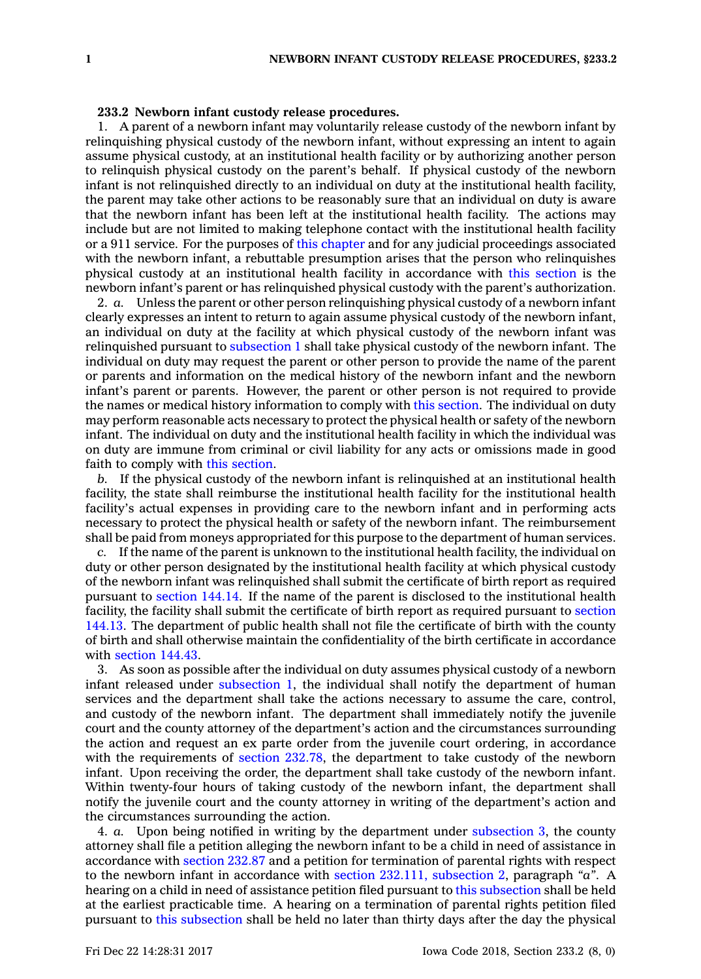## **233.2 Newborn infant custody release procedures.**

1. A parent of <sup>a</sup> newborn infant may voluntarily release custody of the newborn infant by relinquishing physical custody of the newborn infant, without expressing an intent to again assume physical custody, at an institutional health facility or by authorizing another person to relinquish physical custody on the parent's behalf. If physical custody of the newborn infant is not relinquished directly to an individual on duty at the institutional health facility, the parent may take other actions to be reasonably sure that an individual on duty is aware that the newborn infant has been left at the institutional health facility. The actions may include but are not limited to making telephone contact with the institutional health facility or <sup>a</sup> 911 service. For the purposes of this [chapter](https://www.legis.iowa.gov/docs/code//233.pdf) and for any judicial proceedings associated with the newborn infant, <sup>a</sup> rebuttable presumption arises that the person who relinquishes physical custody at an institutional health facility in accordance with this [section](https://www.legis.iowa.gov/docs/code/233.2.pdf) is the newborn infant's parent or has relinquished physical custody with the parent's authorization.

2. *a.* Unless the parent or other person relinquishing physical custody of <sup>a</sup> newborn infant clearly expresses an intent to return to again assume physical custody of the newborn infant, an individual on duty at the facility at which physical custody of the newborn infant was relinquished pursuant to [subsection](https://www.legis.iowa.gov/docs/code/233.2.pdf) 1 shall take physical custody of the newborn infant. The individual on duty may request the parent or other person to provide the name of the parent or parents and information on the medical history of the newborn infant and the newborn infant's parent or parents. However, the parent or other person is not required to provide the names or medical history information to comply with this [section](https://www.legis.iowa.gov/docs/code/233.2.pdf). The individual on duty may perform reasonable acts necessary to protect the physical health or safety of the newborn infant. The individual on duty and the institutional health facility in which the individual was on duty are immune from criminal or civil liability for any acts or omissions made in good faith to comply with this [section](https://www.legis.iowa.gov/docs/code/233.2.pdf).

*b.* If the physical custody of the newborn infant is relinquished at an institutional health facility, the state shall reimburse the institutional health facility for the institutional health facility's actual expenses in providing care to the newborn infant and in performing acts necessary to protect the physical health or safety of the newborn infant. The reimbursement shall be paid from moneys appropriated for this purpose to the department of human services.

*c.* If the name of the parent is unknown to the institutional health facility, the individual on duty or other person designated by the institutional health facility at which physical custody of the newborn infant was relinquished shall submit the certificate of birth report as required pursuant to [section](https://www.legis.iowa.gov/docs/code/144.14.pdf) 144.14. If the name of the parent is disclosed to the institutional health facility, the facility shall submit the certificate of birth report as required pursuant to [section](https://www.legis.iowa.gov/docs/code/144.13.pdf) [144.13](https://www.legis.iowa.gov/docs/code/144.13.pdf). The department of public health shall not file the certificate of birth with the county of birth and shall otherwise maintain the confidentiality of the birth certificate in accordance with [section](https://www.legis.iowa.gov/docs/code/144.43.pdf) 144.43.

3. As soon as possible after the individual on duty assumes physical custody of <sup>a</sup> newborn infant released under [subsection](https://www.legis.iowa.gov/docs/code/233.2.pdf) 1, the individual shall notify the department of human services and the department shall take the actions necessary to assume the care, control, and custody of the newborn infant. The department shall immediately notify the juvenile court and the county attorney of the department's action and the circumstances surrounding the action and request an ex parte order from the juvenile court ordering, in accordance with the requirements of section [232.78](https://www.legis.iowa.gov/docs/code/232.78.pdf), the department to take custody of the newborn infant. Upon receiving the order, the department shall take custody of the newborn infant. Within twenty-four hours of taking custody of the newborn infant, the department shall notify the juvenile court and the county attorney in writing of the department's action and the circumstances surrounding the action.

4. *a.* Upon being notified in writing by the department under [subsection](https://www.legis.iowa.gov/docs/code/233.2.pdf) 3, the county attorney shall file <sup>a</sup> petition alleging the newborn infant to be <sup>a</sup> child in need of assistance in accordance with [section](https://www.legis.iowa.gov/docs/code/232.87.pdf) 232.87 and <sup>a</sup> petition for termination of parental rights with respect to the newborn infant in accordance with section 232.111, [subsection](https://www.legis.iowa.gov/docs/code/232.111.pdf) 2, paragraph *"a"*. A hearing on <sup>a</sup> child in need of assistance petition filed pursuant to this [subsection](https://www.legis.iowa.gov/docs/code/233.2.pdf) shall be held at the earliest practicable time. A hearing on <sup>a</sup> termination of parental rights petition filed pursuant to this [subsection](https://www.legis.iowa.gov/docs/code/233.2.pdf) shall be held no later than thirty days after the day the physical